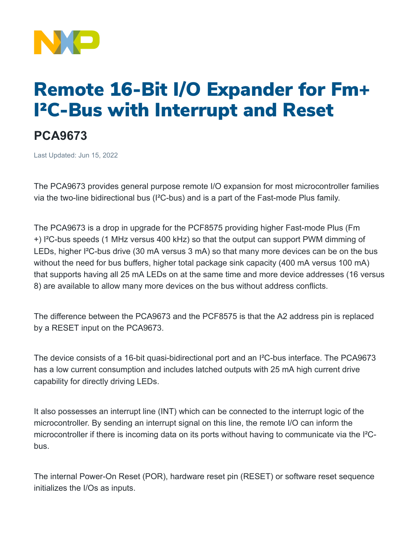

# Remote 16-Bit I/O Expander for Fm+ I²C-Bus with Interrupt and Reset

# **PCA9673**

Last Updated: Jun 15, 2022

The PCA9673 provides general purpose remote I/O expansion for most microcontroller families via the two-line bidirectional bus (I²C-bus) and is a part of the Fast-mode Plus family.

The PCA9673 is a drop in upgrade for the PCF8575 providing higher Fast-mode Plus (Fm +) I²C-bus speeds (1 MHz versus 400 kHz) so that the output can support PWM dimming of LEDs, higher I²C-bus drive (30 mA versus 3 mA) so that many more devices can be on the bus without the need for bus buffers, higher total package sink capacity (400 mA versus 100 mA) that supports having all 25 mA LEDs on at the same time and more device addresses (16 versus 8) are available to allow many more devices on the bus without address conflicts.

The difference between the PCA9673 and the PCF8575 is that the A2 address pin is replaced by a RESET input on the PCA9673.

The device consists of a 16-bit quasi-bidirectional port and an I²C-bus interface. The PCA9673 has a low current consumption and includes latched outputs with 25 mA high current drive capability for directly driving LEDs.

It also possesses an interrupt line (INT) which can be connected to the interrupt logic of the microcontroller. By sending an interrupt signal on this line, the remote I/O can inform the microcontroller if there is incoming data on its ports without having to communicate via the I²Cbus.

The internal Power-On Reset (POR), hardware reset pin (RESET) or software reset sequence initializes the I/Os as inputs.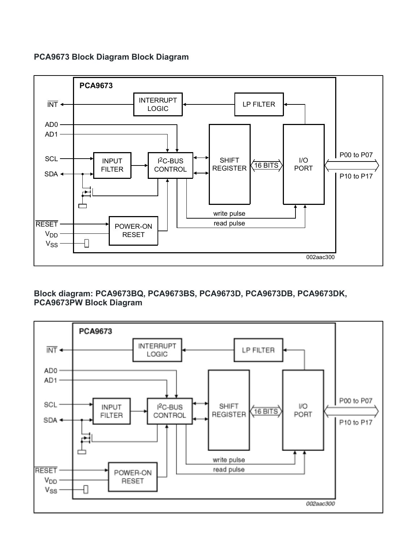### **PCA9673 Block Diagram Block Diagram**



## **Block diagram: PCA9673BQ, PCA9673BS, PCA9673D, PCA9673DB, PCA9673DK, PCA9673PW Block Diagram**